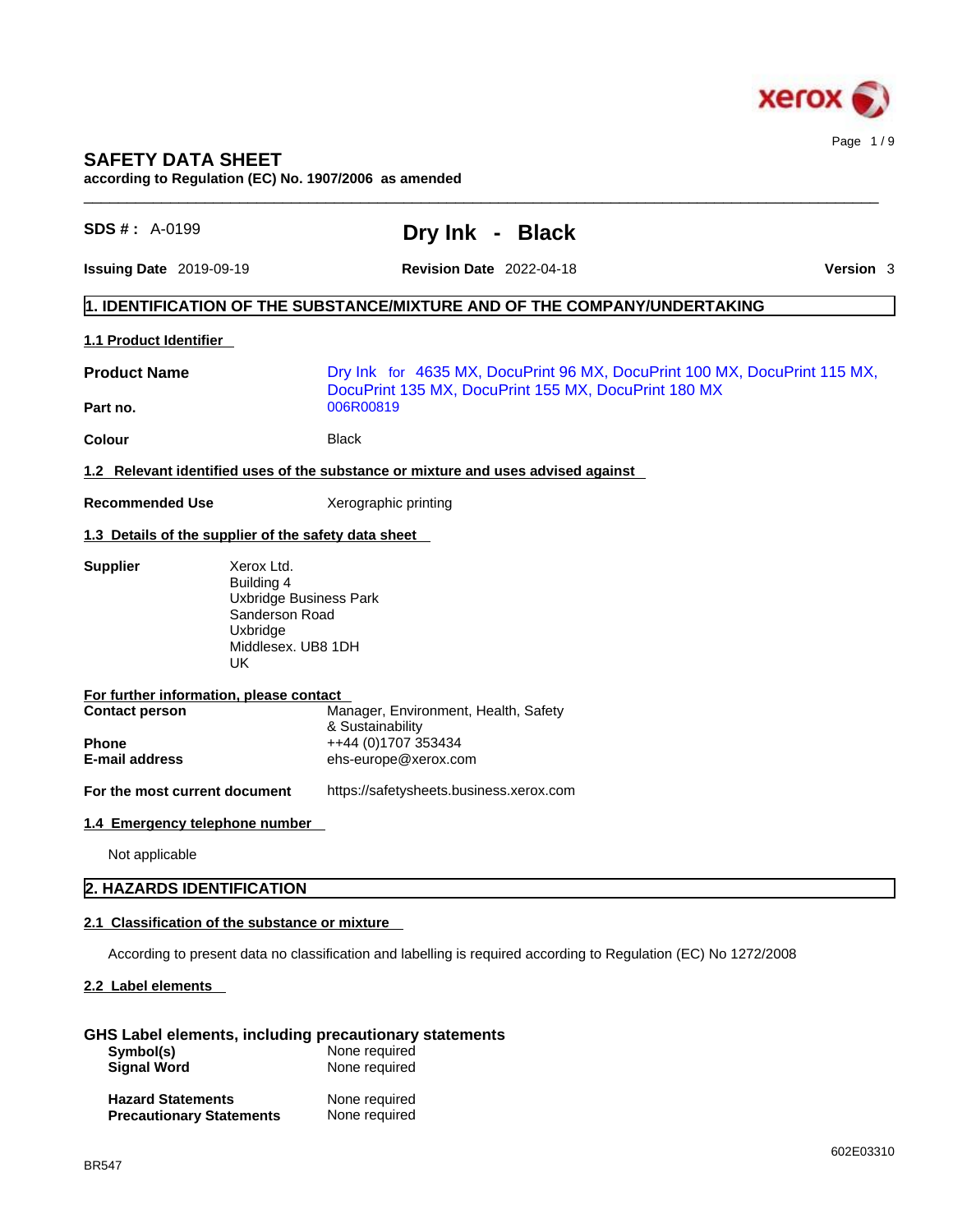

# **SAFETY DATA SHEET**

**according to Regulation (EC) No. 1907/2006 as amended** 

| <b>SDS #: A-0199</b>                                                  | Dry Ink - Black                                                                                                                   |           |
|-----------------------------------------------------------------------|-----------------------------------------------------------------------------------------------------------------------------------|-----------|
| Issuing Date 2019-09-19                                               | <b>Revision Date 2022-04-18</b>                                                                                                   | Version 3 |
|                                                                       | 1. IDENTIFICATION OF THE SUBSTANCE/MIXTURE AND OF THE COMPANY/UNDERTAKING                                                         |           |
| 1.1 Product Identifier                                                |                                                                                                                                   |           |
| <b>Product Name</b>                                                   | Dry Ink for 4635 MX, DocuPrint 96 MX, DocuPrint 100 MX, DocuPrint 115 MX,<br>DocuPrint 135 MX, DocuPrint 155 MX, DocuPrint 180 MX |           |
| Part no.                                                              | 006R00819                                                                                                                         |           |
| <b>Colour</b>                                                         | <b>Black</b>                                                                                                                      |           |
|                                                                       | 1.2 Relevant identified uses of the substance or mixture and uses advised against                                                 |           |
| <b>Recommended Use</b>                                                | Xerographic printing                                                                                                              |           |
| 1.3 Details of the supplier of the safety data sheet                  |                                                                                                                                   |           |
| Building 4<br>Sanderson Road<br>Uxbridge<br>Middlesex. UB8 1DH<br>UK. | <b>Uxbridge Business Park</b>                                                                                                     |           |
| For further information, please contact                               |                                                                                                                                   |           |
| <b>Contact person</b>                                                 | Manager, Environment, Health, Safety<br>& Sustainability                                                                          |           |
| <b>Phone</b>                                                          | ++44 (0)1707 353434                                                                                                               |           |
| E-mail address                                                        | ehs-europe@xerox.com                                                                                                              |           |
| For the most current document                                         | https://safetysheets.business.xerox.com                                                                                           |           |
| 1.4 Emergency telephone number                                        |                                                                                                                                   |           |
| Not applicable                                                        |                                                                                                                                   |           |
| 2. HAZARDS IDENTIFICATION                                             |                                                                                                                                   |           |
| 2.1 Classification of the substance or mixture                        |                                                                                                                                   |           |
|                                                                       |                                                                                                                                   |           |
|                                                                       | According to present data no classification and labelling is required according to Regulation (EC) No 1272/2008                   |           |

# **GHS Label elements, including precautionary statements**

| Symbol(s)<br><b>Signal Word</b>                             | None required<br>None required |  |
|-------------------------------------------------------------|--------------------------------|--|
| <b>Hazard Statements</b><br><b>Precautionary Statements</b> | None required<br>None required |  |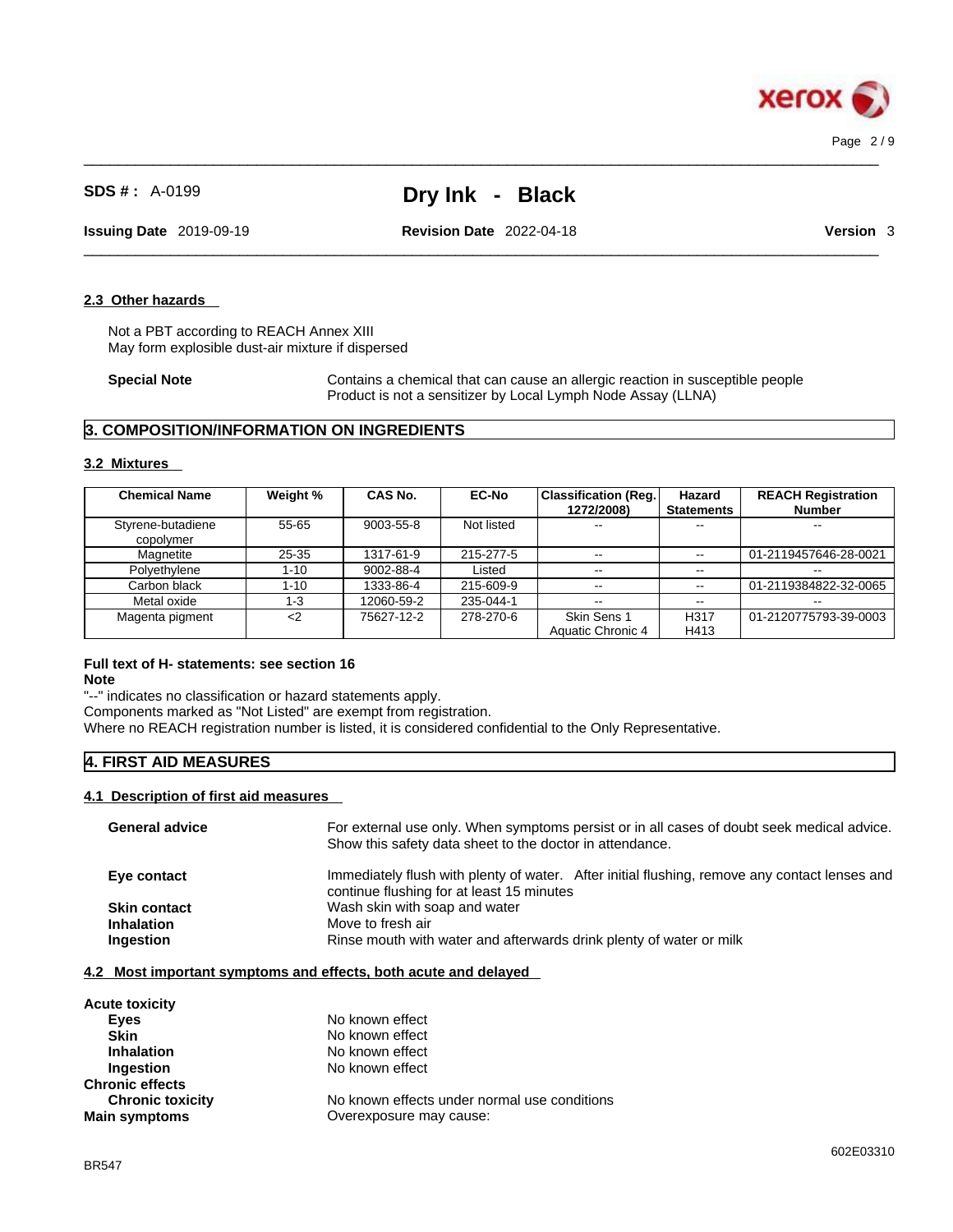

 $\_$  ,  $\_$  ,  $\_$  ,  $\_$  ,  $\_$  ,  $\_$  ,  $\_$  ,  $\_$  ,  $\_$  ,  $\_$  ,  $\_$  ,  $\_$  ,  $\_$  ,  $\_$  ,  $\_$  ,  $\_$  ,  $\_$  ,  $\_$  ,  $\_$  ,  $\_$  ,  $\_$  ,  $\_$  ,  $\_$  ,  $\_$  ,  $\_$  ,  $\_$  ,  $\_$  ,  $\_$  ,  $\_$  ,  $\_$  ,  $\_$  ,  $\_$  ,  $\_$  ,  $\_$  ,  $\_$  ,  $\_$  ,  $\_$  ,

**Issuing Date** 2019-09-19 **Revision Date** 2022-04-18 **Version** 3

# **2.3 Other hazards**

Not a PBT according to REACH Annex XIII May form explosible dust-air mixture if dispersed

**Special Note** Contains a chemical that can cause an allergic reaction in susceptible people Product is not a sensitizer by Local Lymph Node Assay (LLNA)

 $\_$  ,  $\_$  ,  $\_$  ,  $\_$  ,  $\_$  ,  $\_$  ,  $\_$  ,  $\_$  ,  $\_$  ,  $\_$  ,  $\_$  ,  $\_$  ,  $\_$  ,  $\_$  ,  $\_$  ,  $\_$  ,  $\_$  ,  $\_$  ,  $\_$  ,  $\_$  ,  $\_$  ,  $\_$  ,  $\_$  ,  $\_$  ,  $\_$  ,  $\_$  ,  $\_$  ,  $\_$  ,  $\_$  ,  $\_$  ,  $\_$  ,  $\_$  ,  $\_$  ,  $\_$  ,  $\_$  ,  $\_$  ,  $\_$  ,

# **3. COMPOSITION/INFORMATION ON INGREDIENTS**

#### **3.2 Mixtures**

| <b>Chemical Name</b>           | Weight %  | <b>CAS No.</b> | <b>EC-No</b> | <b>Classification (Reg.</b><br>1272/2008) | Hazard<br><b>Statements</b> | <b>REACH Registration</b><br><b>Number</b> |
|--------------------------------|-----------|----------------|--------------|-------------------------------------------|-----------------------------|--------------------------------------------|
| Styrene-butadiene<br>copolymer | $55 - 65$ | 9003-55-8      | Not listed   | $\overline{\phantom{m}}$                  | --                          | $- -$                                      |
| Magnetite                      | $25 - 35$ | 1317-61-9      | 215-277-5    | $\sim$ $\sim$                             | $\sim$                      | 01-2119457646-28-0021                      |
| Polyethylene                   | $1 - 10$  | 9002-88-4      | Listed       | $\sim$ $\sim$                             | $-1$                        |                                            |
| Carbon black                   | $1 - 10$  | 1333-86-4      | 215-609-9    | $\sim$ $-$                                | $\sim$                      | 01-2119384822-32-0065                      |
| Metal oxide                    | $1 - 3$   | 12060-59-2     | 235-044-1    | $\sim$ $\sim$                             | $\sim$ $\sim$               | --                                         |
| Magenta pigment                | $<$ 2     | 75627-12-2     | 278-270-6    | Skin Sens 1                               | H <sub>317</sub>            | 01-2120775793-39-0003                      |
|                                |           |                |              | Aquatic Chronic 4                         | H413                        |                                            |

# **Full text of H- statements: see section 16**

#### **Note**

"--" indicates no classification or hazard statements apply.

Components marked as "Not Listed" are exempt from registration.

Where no REACH registration number is listed, it is considered confidential to the Only Representative.

# **4. FIRST AID MEASURES**

### **4.1 Description of first aid measures**

| <b>General advice</b> | For external use only. When symptoms persist or in all cases of doubt seek medical advice.<br>Show this safety data sheet to the doctor in attendance. |
|-----------------------|--------------------------------------------------------------------------------------------------------------------------------------------------------|
| Eye contact           | Immediately flush with plenty of water. After initial flushing, remove any contact lenses and<br>continue flushing for at least 15 minutes             |
| <b>Skin contact</b>   | Wash skin with soap and water                                                                                                                          |
| <b>Inhalation</b>     | Move to fresh air                                                                                                                                      |
| Ingestion             | Rinse mouth with water and afterwards drink plenty of water or milk                                                                                    |
|                       |                                                                                                                                                        |

#### **4.2 Most important symptoms and effects, both acute and delayed**

| <b>Acute toxicity</b>                          |                                              |
|------------------------------------------------|----------------------------------------------|
| <b>Eves</b>                                    | No known effect                              |
| <b>Skin</b>                                    | No known effect                              |
| <b>Inhalation</b>                              | No known effect                              |
| <b>Ingestion</b>                               | No known effect                              |
|                                                |                                              |
| <b>Chronic toxicity</b>                        | No known effects under normal use conditions |
|                                                | Overexposure may cause:                      |
| <b>Chronic effects</b><br><b>Main symptoms</b> |                                              |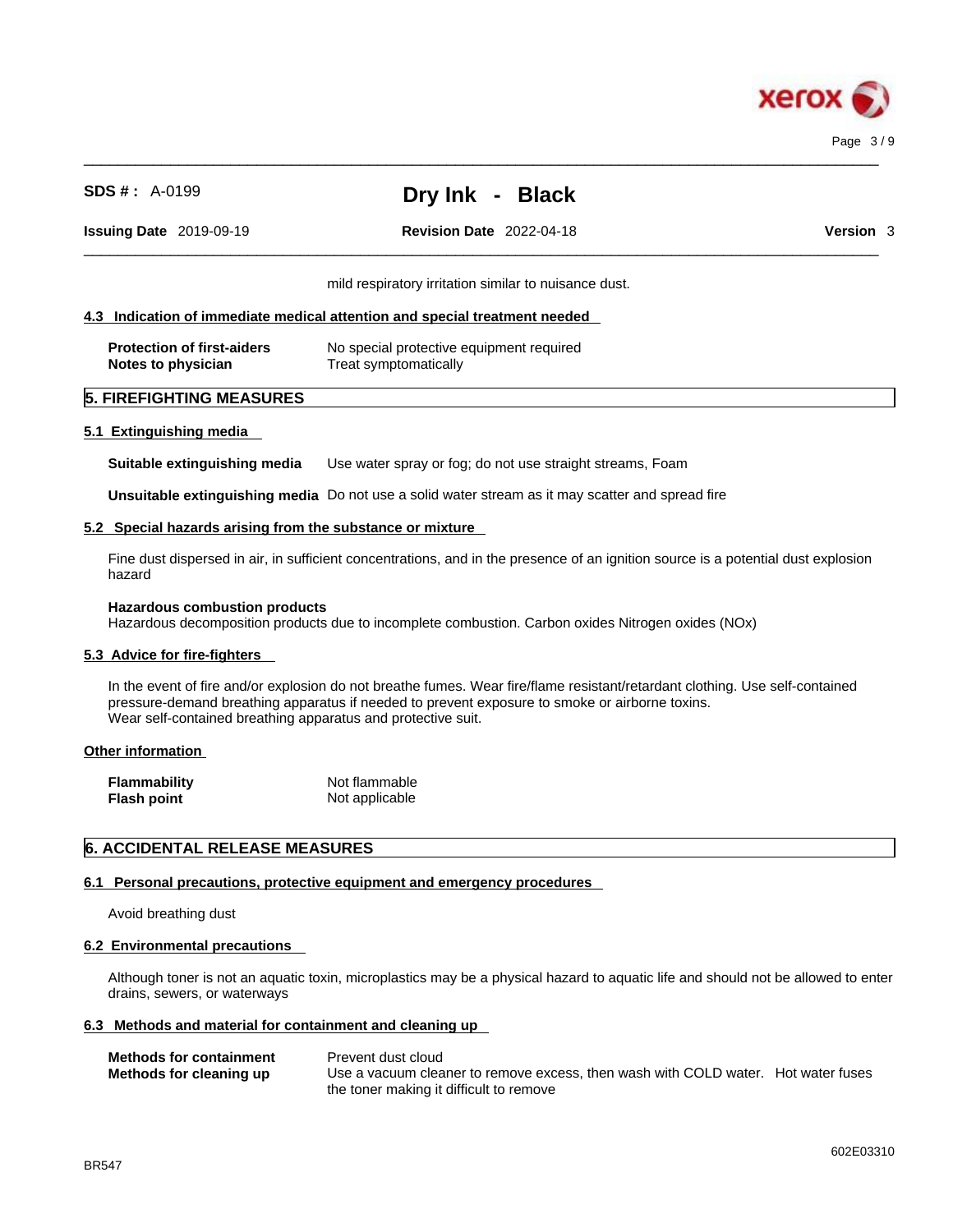

 $\_$  ,  $\_$  ,  $\_$  ,  $\_$  ,  $\_$  ,  $\_$  ,  $\_$  ,  $\_$  ,  $\_$  ,  $\_$  ,  $\_$  ,  $\_$  ,  $\_$  ,  $\_$  ,  $\_$  ,  $\_$  ,  $\_$  ,  $\_$  ,  $\_$  ,  $\_$  ,  $\_$  ,  $\_$  ,  $\_$  ,  $\_$  ,  $\_$  ,  $\_$  ,  $\_$  ,  $\_$  ,  $\_$  ,  $\_$  ,  $\_$  ,  $\_$  ,  $\_$  ,  $\_$  ,  $\_$  ,  $\_$  ,  $\_$  ,

 $\_$  ,  $\_$  ,  $\_$  ,  $\_$  ,  $\_$  ,  $\_$  ,  $\_$  ,  $\_$  ,  $\_$  ,  $\_$  ,  $\_$  ,  $\_$  ,  $\_$  ,  $\_$  ,  $\_$  ,  $\_$  ,  $\_$  ,  $\_$  ,  $\_$  ,  $\_$  ,  $\_$  ,  $\_$  ,  $\_$  ,  $\_$  ,  $\_$  ,  $\_$  ,  $\_$  ,  $\_$  ,  $\_$  ,  $\_$  ,  $\_$  ,  $\_$  ,  $\_$  ,  $\_$  ,  $\_$  ,  $\_$  ,  $\_$  , **Issuing Date** 2019-09-19 **Revision Date** 2022-04-18 **Version** 3

mild respiratory irritation similar to nuisance dust.

#### **4.3 Indication of immediate medical attention and special treatment needed**

| <b>Protection of first-aiders</b> | No special protective equipment required |
|-----------------------------------|------------------------------------------|
| Notes to physician                | Treat symptomatically                    |

# **5. FIREFIGHTING MEASURES**

#### **5.1 Extinguishing media**

**Suitable extinguishing media** Use water spray or fog; do not use straight streams, Foam

**Unsuitable extinguishing media** Do not use a solid water stream as it may scatterand spread fire

#### **5.2 Special hazards arising from the substance or mixture**

Fine dust dispersed in air, in sufficient concentrations, and in the presence of an ignition source is a potential dust explosion hazard

#### **Hazardous combustion products**

Hazardous decomposition products due to incomplete combustion. Carbon oxides Nitrogen oxides (NOx)

#### **5.3 Advice for fire-fighters**

In the event of fire and/or explosion do not breathe fumes. Wear fire/flame resistant/retardant clothing. Use self-contained pressure-demand breathing apparatus if needed to prevent exposure to smoke or airborne toxins. Wear self-contained breathing apparatus and protective suit.

#### **Other information**

| Flammability       | Not flammable  |
|--------------------|----------------|
| <b>Flash point</b> | Not applicable |

# **6. ACCIDENTAL RELEASE MEASURES**

#### **6.1 Personal precautions, protective equipment and emergency procedures**

Avoid breathing dust

#### **6.2 Environmental precautions**

Although toner is not an aquatic toxin, microplastics may be a physical hazard to aquatic life and should not be allowed to enter drains, sewers, or waterways

### **6.3 Methods and material for containment and cleaning up**

| <b>Methods for containment</b> | Prevent dust cloud                                                                |  |
|--------------------------------|-----------------------------------------------------------------------------------|--|
| Methods for cleaning up        | Use a vacuum cleaner to remove excess, then wash with COLD water. Hot water fuses |  |
|                                | the toner making it difficult to remove                                           |  |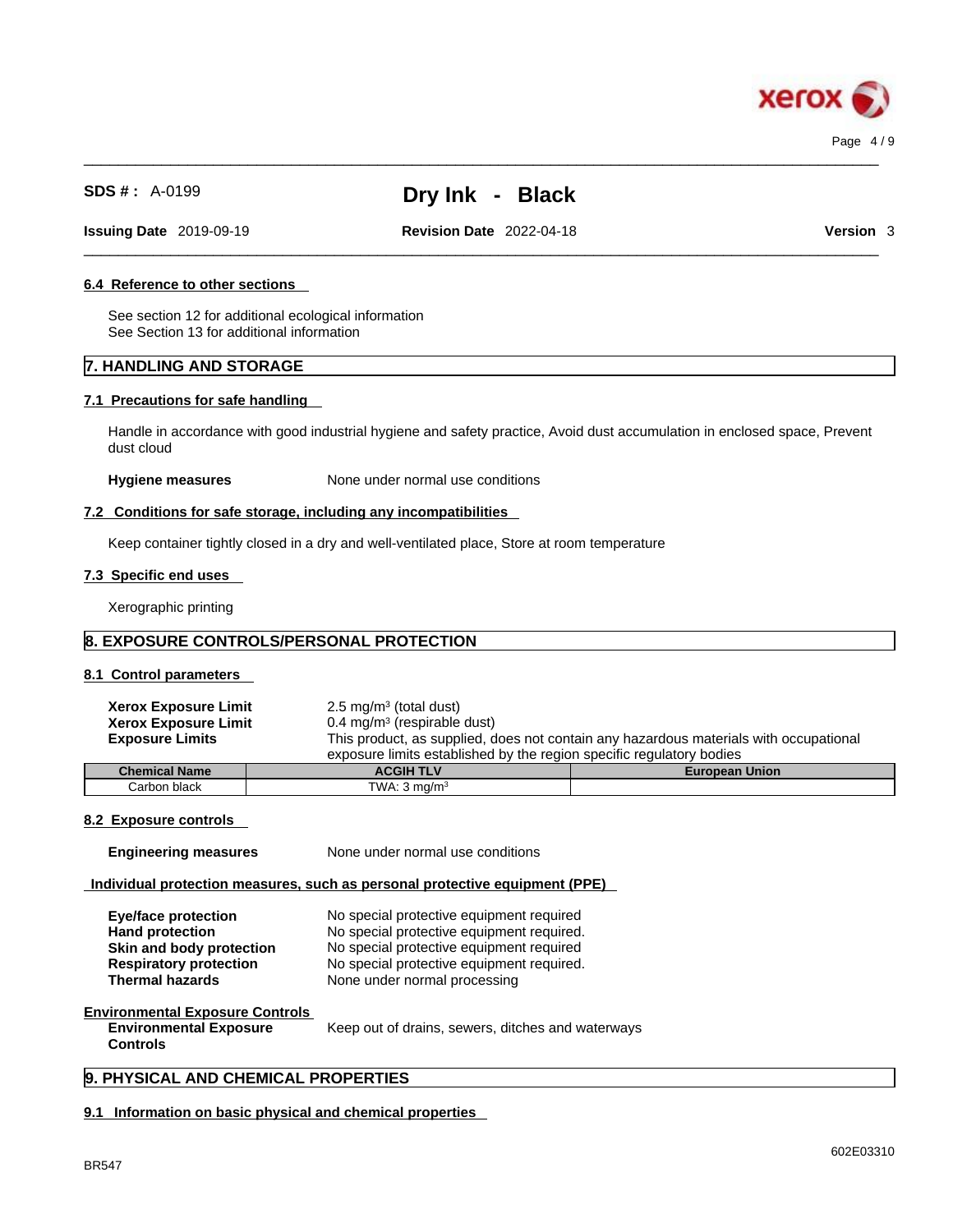

 $\_$  ,  $\_$  ,  $\_$  ,  $\_$  ,  $\_$  ,  $\_$  ,  $\_$  ,  $\_$  ,  $\_$  ,  $\_$  ,  $\_$  ,  $\_$  ,  $\_$  ,  $\_$  ,  $\_$  ,  $\_$  ,  $\_$  ,  $\_$  ,  $\_$  ,  $\_$  ,  $\_$  ,  $\_$  ,  $\_$  ,  $\_$  ,  $\_$  ,  $\_$  ,  $\_$  ,  $\_$  ,  $\_$  ,  $\_$  ,  $\_$  ,  $\_$  ,  $\_$  ,  $\_$  ,  $\_$  ,  $\_$  ,  $\_$  ,

 $\_$  ,  $\_$  ,  $\_$  ,  $\_$  ,  $\_$  ,  $\_$  ,  $\_$  ,  $\_$  ,  $\_$  ,  $\_$  ,  $\_$  ,  $\_$  ,  $\_$  ,  $\_$  ,  $\_$  ,  $\_$  ,  $\_$  ,  $\_$  ,  $\_$  ,  $\_$  ,  $\_$  ,  $\_$  ,  $\_$  ,  $\_$  ,  $\_$  ,  $\_$  ,  $\_$  ,  $\_$  ,  $\_$  ,  $\_$  ,  $\_$  ,  $\_$  ,  $\_$  ,  $\_$  ,  $\_$  ,  $\_$  ,  $\_$  ,

**Issuing Date** 2019-09-19 **Revision Date** 2022-04-18 **Version** 3

#### **6.4 Reference to other sections**

See section 12 for additional ecological information See Section 13 for additional information

# **7. HANDLING AND STORAGE**

#### **7.1 Precautions for safe handling**

Handle in accordance with good industrial hygiene and safety practice, Avoid dust accumulation in enclosed space, Prevent dust cloud

**Hygiene measures** None under normal use conditions

#### **7.2 Conditions for safe storage, including any incompatibilities**

Keep container tightly closed in a dry and well-ventilated place, Store at room temperature

#### **7.3 Specific end uses**

Xerographic printing

# **8. EXPOSURE CONTROLS/PERSONAL PROTECTION**

Carbon black TWA: 3 mg/m<sup>3</sup>

# **8.1 Control parameters**

| <b>Xerox Exposure Limit</b>                                          | $2.5 \text{ mg/m}^3$ (total dust)      |                                                                                       |  |  |
|----------------------------------------------------------------------|----------------------------------------|---------------------------------------------------------------------------------------|--|--|
| <b>Xerox Exposure Limit</b>                                          | $0.4 \text{ mg/m}^3$ (respirable dust) |                                                                                       |  |  |
| <b>Exposure Limits</b>                                               |                                        | This product, as supplied, does not contain any hazardous materials with occupational |  |  |
| exposure limits established by the region specific regulatory bodies |                                        |                                                                                       |  |  |
| <b>Chemical Name</b>                                                 | <b>ACGIH TLV</b>                       | <b>European Union</b>                                                                 |  |  |

# **8.2 Exposure controls**

**Engineering measures** None under normal use conditions

# **Individual protection measures, such as personal protective equipment (PPE)**

| Eye/face protection           | No special protective equipment required  |
|-------------------------------|-------------------------------------------|
| <b>Hand protection</b>        | No special protective equipment required. |
| Skin and body protection      | No special protective equipment required  |
| <b>Respiratory protection</b> | No special protective equipment required. |
| <b>Thermal hazards</b>        | None under normal processing              |

#### **Environmental Exposure Controls Environmental Exposure Controls**

Keep out of drains, sewers, ditches and waterways

# **9. PHYSICAL AND CHEMICAL PROPERTIES**

# **9.1 Information on basic physical and chemical properties**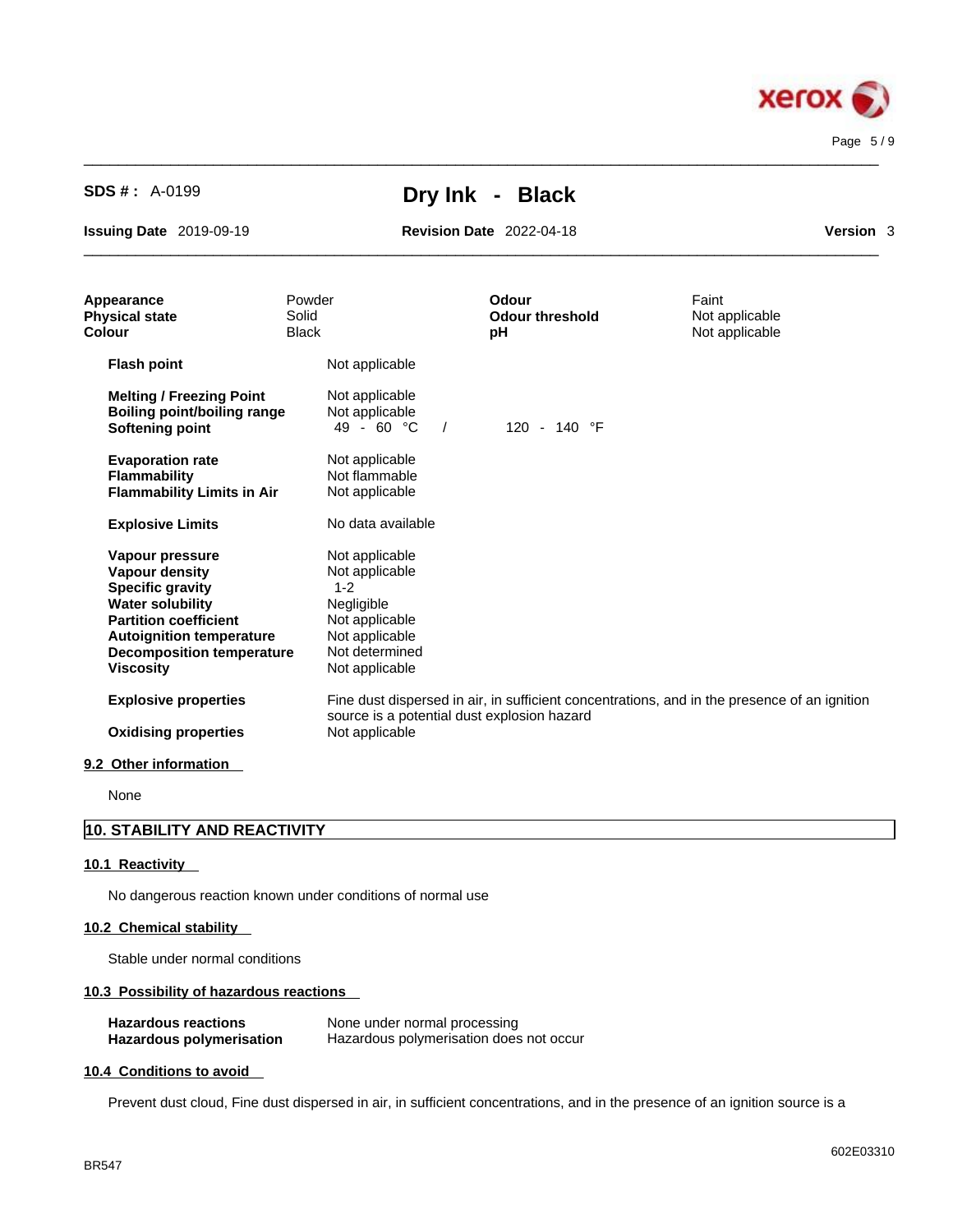

 $\_$  ,  $\_$  ,  $\_$  ,  $\_$  ,  $\_$  ,  $\_$  ,  $\_$  ,  $\_$  ,  $\_$  ,  $\_$  ,  $\_$  ,  $\_$  ,  $\_$  ,  $\_$  ,  $\_$  ,  $\_$  ,  $\_$  ,  $\_$  ,  $\_$  ,  $\_$  ,  $\_$  ,  $\_$  ,  $\_$  ,  $\_$  ,  $\_$  ,  $\_$  ,  $\_$  ,  $\_$  ,  $\_$  ,  $\_$  ,  $\_$  ,  $\_$  ,  $\_$  ,  $\_$  ,  $\_$  ,  $\_$  ,  $\_$  ,

 $\_$  ,  $\_$  ,  $\_$  ,  $\_$  ,  $\_$  ,  $\_$  ,  $\_$  ,  $\_$  ,  $\_$  ,  $\_$  ,  $\_$  ,  $\_$  ,  $\_$  ,  $\_$  ,  $\_$  ,  $\_$  ,  $\_$  ,  $\_$  ,  $\_$  ,  $\_$  ,  $\_$  ,  $\_$  ,  $\_$  ,  $\_$  ,  $\_$  ,  $\_$  ,  $\_$  ,  $\_$  ,  $\_$  ,  $\_$  ,  $\_$  ,  $\_$  ,  $\_$  ,  $\_$  ,  $\_$  ,  $\_$  ,  $\_$  ,

**Issuing Date** 2019-09-19 **Revision Date** 2022-04-18 **Version** 3

| Appearance<br><b>Physical state</b><br>Colour                                                                                                                                                                             | Powder<br>Solid<br><b>Black</b>                                                                                                   | <b>Odour</b><br><b>Odour threshold</b><br>pH | Faint<br>Not applicable<br>Not applicable                                                    |
|---------------------------------------------------------------------------------------------------------------------------------------------------------------------------------------------------------------------------|-----------------------------------------------------------------------------------------------------------------------------------|----------------------------------------------|----------------------------------------------------------------------------------------------|
| <b>Flash point</b>                                                                                                                                                                                                        | Not applicable                                                                                                                    |                                              |                                                                                              |
| <b>Melting / Freezing Point</b><br><b>Boiling point/boiling range</b><br><b>Softening point</b>                                                                                                                           | Not applicable<br>Not applicable<br>$49 - 60 °C$<br>$\sqrt{ }$                                                                    | 120 - 140 °F                                 |                                                                                              |
| <b>Evaporation rate</b><br><b>Flammability</b><br><b>Flammability Limits in Air</b>                                                                                                                                       | Not applicable<br>Not flammable<br>Not applicable                                                                                 |                                              |                                                                                              |
| <b>Explosive Limits</b>                                                                                                                                                                                                   | No data available                                                                                                                 |                                              |                                                                                              |
| Vapour pressure<br><b>Vapour density</b><br><b>Specific gravity</b><br><b>Water solubility</b><br><b>Partition coefficient</b><br><b>Autoignition temperature</b><br><b>Decomposition temperature</b><br><b>Viscosity</b> | Not applicable<br>Not applicable<br>$1 - 2$<br>Negligible<br>Not applicable<br>Not applicable<br>Not determined<br>Not applicable |                                              |                                                                                              |
| <b>Explosive properties</b><br><b>Oxidising properties</b>                                                                                                                                                                | source is a potential dust explosion hazard<br>Not applicable                                                                     |                                              | Fine dust dispersed in air, in sufficient concentrations, and in the presence of an ignition |
| 9.2 Other information                                                                                                                                                                                                     |                                                                                                                                   |                                              |                                                                                              |

None

# **10. STABILITY AND REACTIVITY**

# **10.1 Reactivity**

No dangerous reaction known under conditions of normal use

# **10.2 Chemical stability**

Stable under normal conditions

# **10.3 Possibility of hazardous reactions**

| <b>Hazardous reactions</b> | None under normal processing            |
|----------------------------|-----------------------------------------|
| Hazardous polymerisation   | Hazardous polymerisation does not occur |

# **10.4 Conditions to avoid**

Prevent dust cloud, Fine dust dispersed in air, in sufficient concentrations, and in the presence of an ignition source is a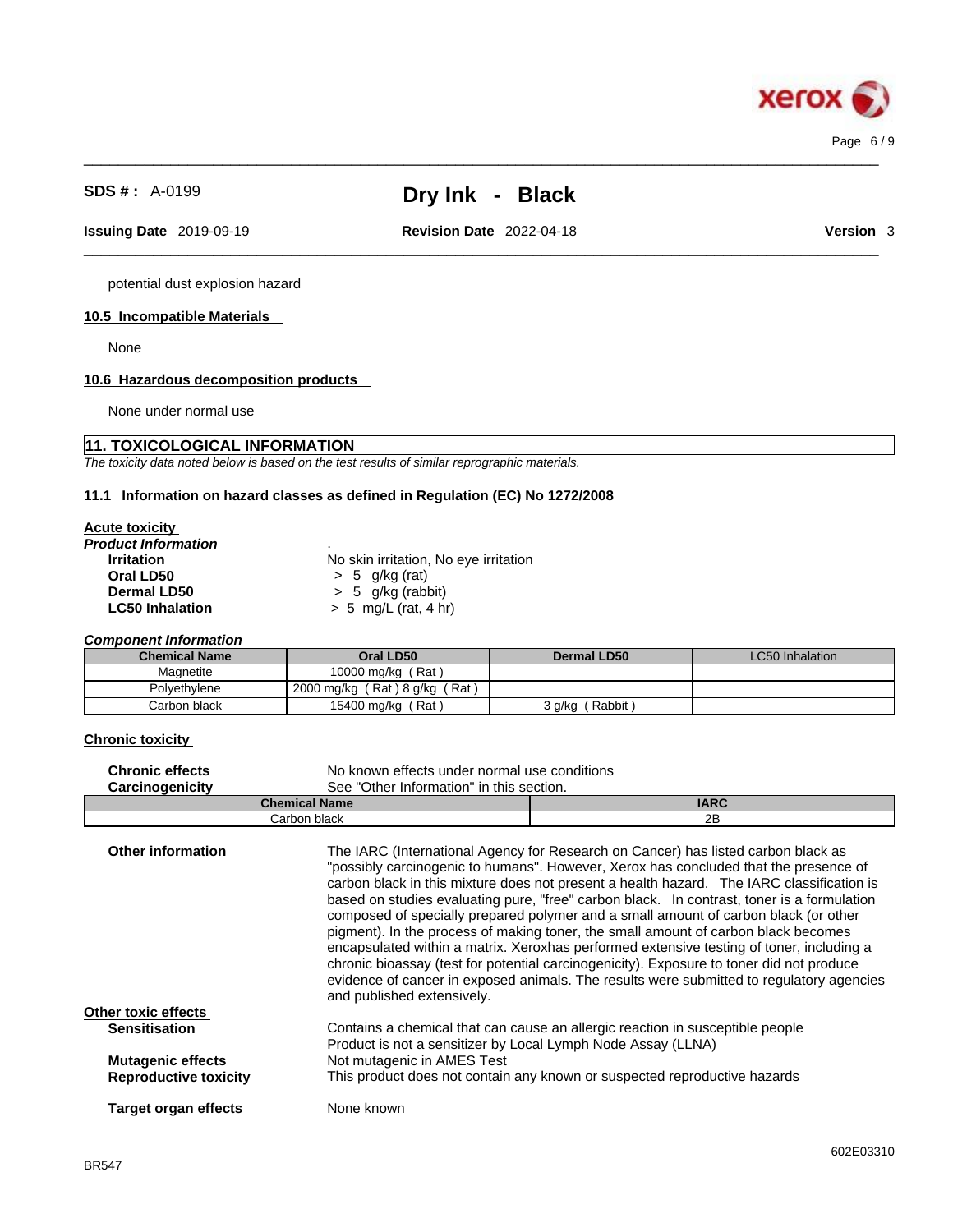potential dust explosion hazard

# **10.5 Incompatible Materials**

None

# **10.6 Hazardous decomposition products**

None under normal use

# **11. TOXICOLOGICAL INFORMATION**

*The toxicity data noted below is based on the test results of similar reprographic materials.* 

# **11.1 Information on hazard classes as defined in Regulation (EC) No 1272/2008**

#### **Acute toxicity**

| No skin irritation, No eye irritation |
|---------------------------------------|
| $> 5$ g/kg (rat)                      |
| $> 5$ g/kg (rabbit)                   |
| $> 5$ mg/L (rat, 4 hr)                |
|                                       |

*Component Information* 

| <b>Chemical Name</b> | Oral LD50                     | Dermal LD50      | LC50 Inhalation |
|----------------------|-------------------------------|------------------|-----------------|
| Magnetite            | 10000 mg/kg (Rat)             |                  |                 |
| Polvethylene         | 2000 mg/kg (Rat) 8 g/kg (Rat) |                  |                 |
| Carbon black         | 15400 mg/kg (Rat)             | Rabbit<br>s g/kg |                 |

#### **Chronic toxicity**

| <b>Chronic effects</b> | No known effects under normal use conditions |             |
|------------------------|----------------------------------------------|-------------|
| <b>Carcinogenicity</b> | See "Other Information" in this section.     |             |
|                        | <b>Chemical Name</b>                         | <b>IARC</b> |
|                        | Carbon black                                 | 2B          |

| <b>Other information</b>     | The IARC (International Agency for Research on Cancer) has listed carbon black as<br>"possibly carcinogenic to humans". However, Xerox has concluded that the presence of<br>carbon black in this mixture does not present a health hazard. The IARC classification is<br>based on studies evaluating pure, "free" carbon black. In contrast, toner is a formulation<br>composed of specially prepared polymer and a small amount of carbon black (or other<br>pigment). In the process of making toner, the small amount of carbon black becomes<br>encapsulated within a matrix. Xeroxhas performed extensive testing of toner, including a<br>chronic bioassay (test for potential carcinogenicity). Exposure to toner did not produce<br>evidence of cancer in exposed animals. The results were submitted to regulatory agencies<br>and published extensively. |
|------------------------------|---------------------------------------------------------------------------------------------------------------------------------------------------------------------------------------------------------------------------------------------------------------------------------------------------------------------------------------------------------------------------------------------------------------------------------------------------------------------------------------------------------------------------------------------------------------------------------------------------------------------------------------------------------------------------------------------------------------------------------------------------------------------------------------------------------------------------------------------------------------------|
| Other toxic effects          |                                                                                                                                                                                                                                                                                                                                                                                                                                                                                                                                                                                                                                                                                                                                                                                                                                                                     |
| <b>Sensitisation</b>         | Contains a chemical that can cause an allergic reaction in susceptible people                                                                                                                                                                                                                                                                                                                                                                                                                                                                                                                                                                                                                                                                                                                                                                                       |
|                              | Product is not a sensitizer by Local Lymph Node Assay (LLNA)                                                                                                                                                                                                                                                                                                                                                                                                                                                                                                                                                                                                                                                                                                                                                                                                        |
| <b>Mutagenic effects</b>     | Not mutagenic in AMES Test                                                                                                                                                                                                                                                                                                                                                                                                                                                                                                                                                                                                                                                                                                                                                                                                                                          |
|                              |                                                                                                                                                                                                                                                                                                                                                                                                                                                                                                                                                                                                                                                                                                                                                                                                                                                                     |
| <b>Reproductive toxicity</b> | This product does not contain any known or suspected reproductive hazards                                                                                                                                                                                                                                                                                                                                                                                                                                                                                                                                                                                                                                                                                                                                                                                           |
| Target organ effects         | None known                                                                                                                                                                                                                                                                                                                                                                                                                                                                                                                                                                                                                                                                                                                                                                                                                                                          |
|                              |                                                                                                                                                                                                                                                                                                                                                                                                                                                                                                                                                                                                                                                                                                                                                                                                                                                                     |

 $\_$  ,  $\_$  ,  $\_$  ,  $\_$  ,  $\_$  ,  $\_$  ,  $\_$  ,  $\_$  ,  $\_$  ,  $\_$  ,  $\_$  ,  $\_$  ,  $\_$  ,  $\_$  ,  $\_$  ,  $\_$  ,  $\_$  ,  $\_$  ,  $\_$  ,  $\_$  ,  $\_$  ,  $\_$  ,  $\_$  ,  $\_$  ,  $\_$  ,  $\_$  ,  $\_$  ,  $\_$  ,  $\_$  ,  $\_$  ,  $\_$  ,  $\_$  ,  $\_$  ,  $\_$  ,  $\_$  ,  $\_$  ,  $\_$  , **Issuing Date** 2019-09-19 **Revision Date** 2022-04-18 **Version** 3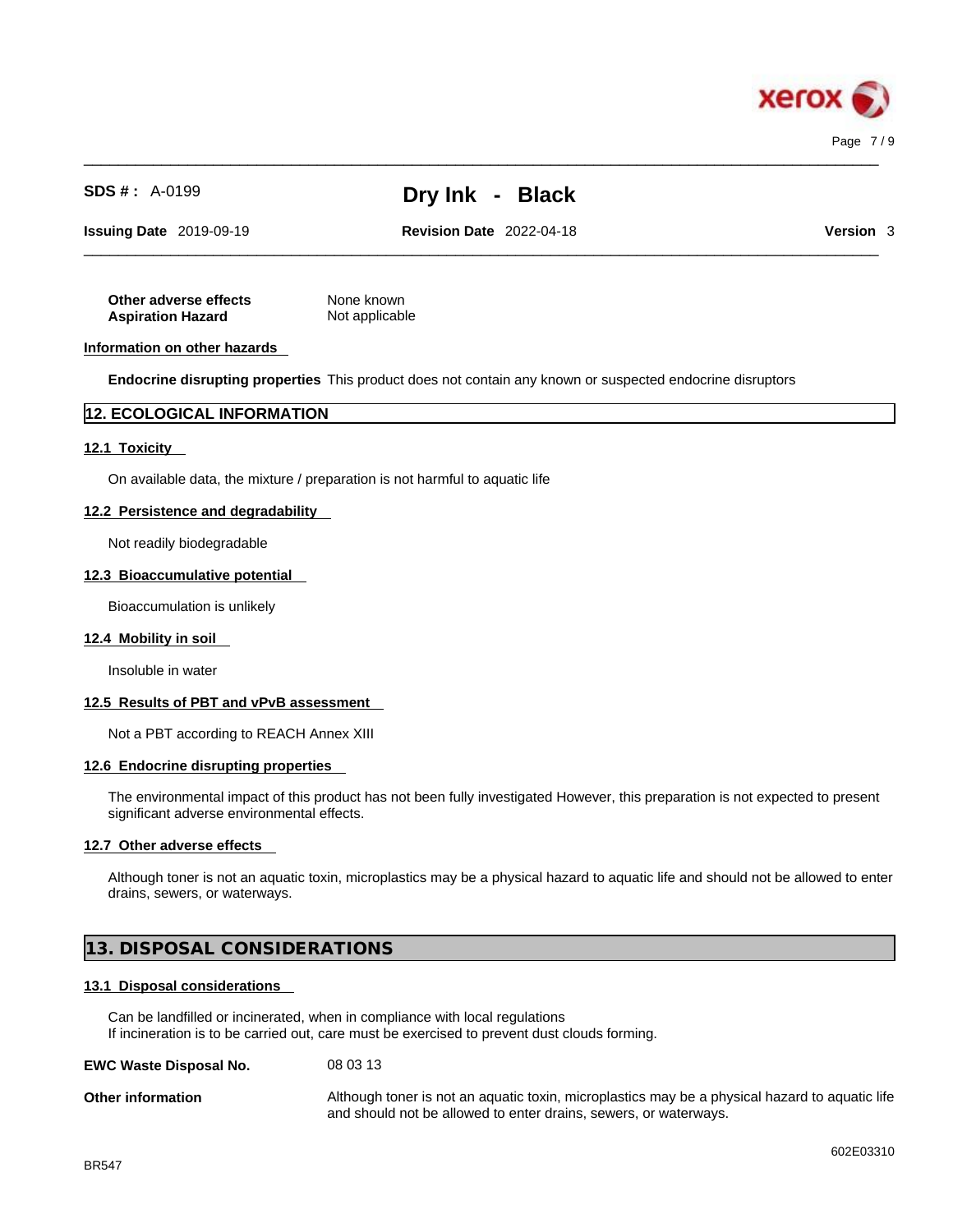

 $\_$  ,  $\_$  ,  $\_$  ,  $\_$  ,  $\_$  ,  $\_$  ,  $\_$  ,  $\_$  ,  $\_$  ,  $\_$  ,  $\_$  ,  $\_$  ,  $\_$  ,  $\_$  ,  $\_$  ,  $\_$  ,  $\_$  ,  $\_$  ,  $\_$  ,  $\_$  ,  $\_$  ,  $\_$  ,  $\_$  ,  $\_$  ,  $\_$  ,  $\_$  ,  $\_$  ,  $\_$  ,  $\_$  ,  $\_$  ,  $\_$  ,  $\_$  ,  $\_$  ,  $\_$  ,  $\_$  ,  $\_$  ,  $\_$  ,

 $\_$  ,  $\_$  ,  $\_$  ,  $\_$  ,  $\_$  ,  $\_$  ,  $\_$  ,  $\_$  ,  $\_$  ,  $\_$  ,  $\_$  ,  $\_$  ,  $\_$  ,  $\_$  ,  $\_$  ,  $\_$  ,  $\_$  ,  $\_$  ,  $\_$  ,  $\_$  ,  $\_$  ,  $\_$  ,  $\_$  ,  $\_$  ,  $\_$  ,  $\_$  ,  $\_$  ,  $\_$  ,  $\_$  ,  $\_$  ,  $\_$  ,  $\_$  ,  $\_$  ,  $\_$  ,  $\_$  ,  $\_$  ,  $\_$  ,

**Issuing Date** 2019-09-19 **Revision Date** 2022-04-18 **Version** 3

**Other adverse effects** None known **Aspiration Hazard** Not applicable

#### **Information on other hazards**

**Endocrine disrupting properties** This product does not contain any known or suspected endocrine disruptors

### **12. ECOLOGICAL INFORMATION**

#### **12.1 Toxicity**

On available data, the mixture / preparation is not harmful to aquatic life

#### **12.2 Persistence and degradability**

Not readily biodegradable

#### **12.3 Bioaccumulative potential**

Bioaccumulation is unlikely

#### **12.4 Mobility in soil**

Insoluble in water

#### **12.5 Results of PBT and vPvB assessment**

Not a PBT according to REACH Annex XIII

#### **12.6 Endocrine disrupting properties**

The environmental impact of this product has not been fully investigated However, this preparation is not expected to present significant adverse environmental effects.

#### **12.7 Other adverse effects**

Although toner is not an aquatic toxin, microplastics may be a physical hazard to aquatic life and should not be allowed to enter drains, sewers, or waterways.

# **13. DISPOSAL CONSIDERATIONS**

#### **13.1 Disposal considerations**

Can be landfilled or incinerated, when in compliance with local regulations If incineration is to be carried out, care must be exercised to prevent dust clouds forming.

| <b>EWC Waste Disposal No.</b> | 08 03 13 |
|-------------------------------|----------|
|-------------------------------|----------|

**Other information Although toner is not an aquatic toxin, microplastics may be a physical hazard to aquatic life** and should not be allowed to enter drains, sewers, or waterways.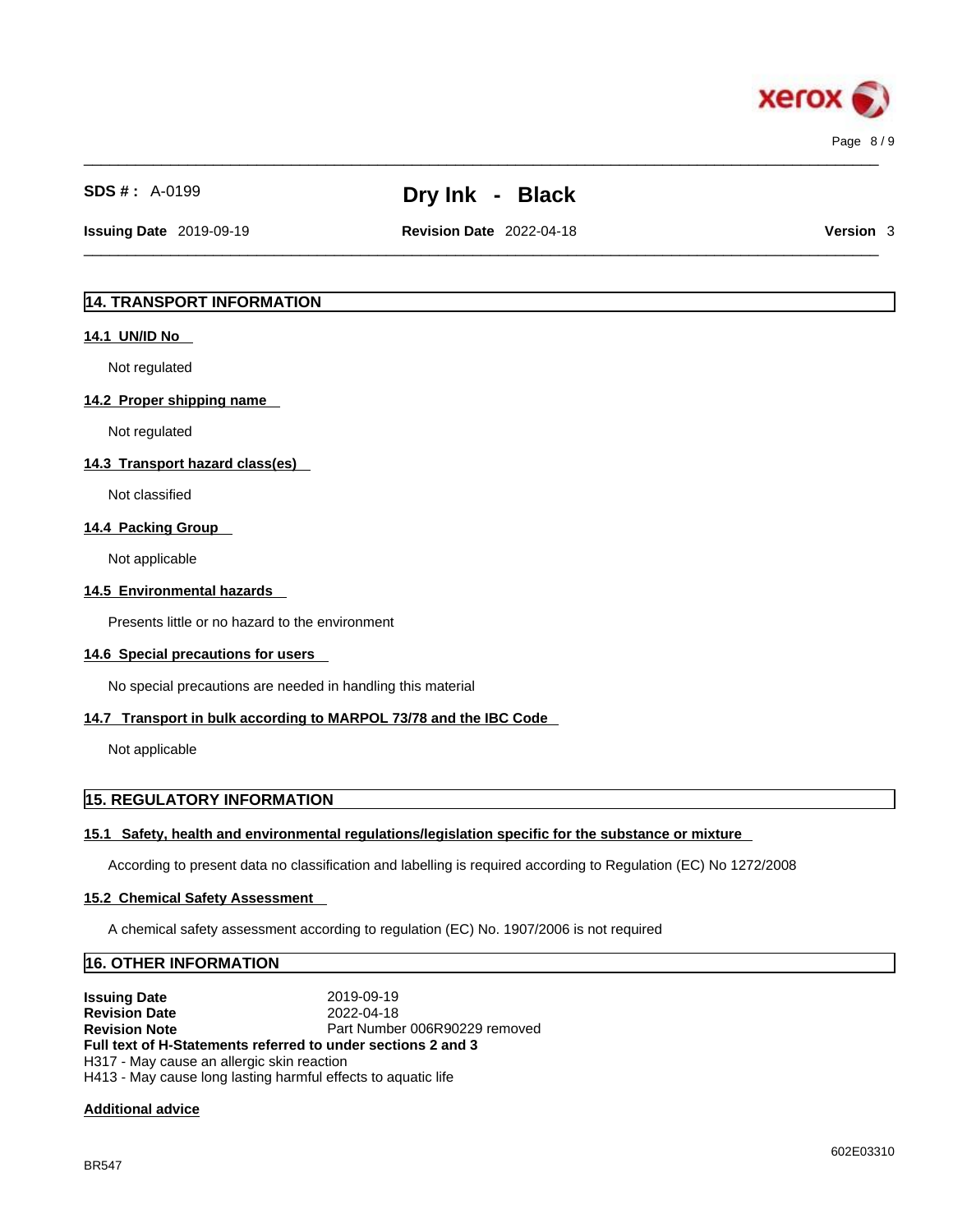

 $\_$  ,  $\_$  ,  $\_$  ,  $\_$  ,  $\_$  ,  $\_$  ,  $\_$  ,  $\_$  ,  $\_$  ,  $\_$  ,  $\_$  ,  $\_$  ,  $\_$  ,  $\_$  ,  $\_$  ,  $\_$  ,  $\_$  ,  $\_$  ,  $\_$  ,  $\_$  ,  $\_$  ,  $\_$  ,  $\_$  ,  $\_$  ,  $\_$  ,  $\_$  ,  $\_$  ,  $\_$  ,  $\_$  ,  $\_$  ,  $\_$  ,  $\_$  ,  $\_$  ,  $\_$  ,  $\_$  ,  $\_$  ,  $\_$  ,

**Issuing Date** 2019-09-19 **Revision Date** 2022-04-18 **Version** 3

 $\_$  ,  $\_$  ,  $\_$  ,  $\_$  ,  $\_$  ,  $\_$  ,  $\_$  ,  $\_$  ,  $\_$  ,  $\_$  ,  $\_$  ,  $\_$  ,  $\_$  ,  $\_$  ,  $\_$  ,  $\_$  ,  $\_$  ,  $\_$  ,  $\_$  ,  $\_$  ,  $\_$  ,  $\_$  ,  $\_$  ,  $\_$  ,  $\_$  ,  $\_$  ,  $\_$  ,  $\_$  ,  $\_$  ,  $\_$  ,  $\_$  ,  $\_$  ,  $\_$  ,  $\_$  ,  $\_$  ,  $\_$  ,  $\_$  ,

# **14. TRANSPORT INFORMATION**

#### **14.1 UN/ID No**

Not regulated

#### **14.2 Proper shipping name**

Not regulated

#### **14.3 Transport hazard class(es)**

Not classified

### **14.4 Packing Group**

Not applicable

#### **14.5 Environmental hazards**

Presents little or no hazard to the environment

### **14.6 Special precautions for users**

No special precautions are needed in handling this material

### **14.7 Transport in bulk according to MARPOL 73/78 and the IBC Code**

Not applicable

# **15. REGULATORY INFORMATION**

### **15.1 Safety, health and environmental regulations/legislation specific for the substance or mixture**

According to present data no classification and labelling is required according to Regulation (EC) No 1272/2008

#### **15.2 Chemical Safety Assessment**

A chemical safety assessment according to regulation (EC) No. 1907/2006 isnot required

### **16. OTHER INFORMATION**

**Issuing Date** 2019-09-19<br> **Revision Date** 2022-04-18 **Revision Date**<br>**Revision Note** Part Number 006R90229 removed **Full text of H-Statements referred to undersections 2 and 3** H317 - May cause an allergic skin reaction H413 - May cause long lasting harmful effects to aquatic life

### **Additional advice**